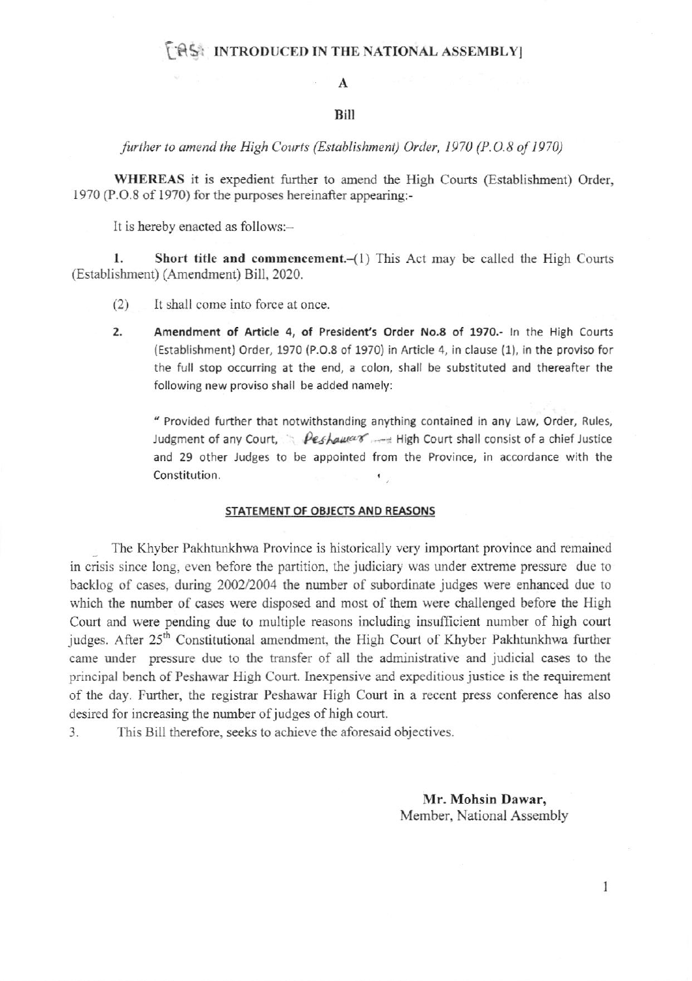## **FAS: INTRODUCED IN THE NATIONAL ASSEMBLY**

### A

#### Bilt

further to amend the High Courts (Establishment) Order, 1970 (P.O.8 of 1970)

WHEREAS it is expedient further to amend the High Courts (Establishment) Order, 1970 (P.O.8 of 1970) for the purposes hereinaffer appearing:-

It is hereby enacted as follows:-

1. Short title and commencement.  $(l)$  This Act may be called the High Courts (Establishment) (Amendmen) Bill, 2020.

(2) It shall comc into force at once

2. Amendment of Article 4, of President's Order No.8 of 1970.- In the High Courts (Establishment) Order, 1970 (P.O.8 of 1970) in Article 4, in clause (1), in the proviso for the full stop occurring at the end, a colon, shall be substituted and thereafter the following new proviso shall be added namely:

" Provided further that notwithstanding anything contained in any Law, Order, Rules, Judgment of any Court,  $\triangle$  Peshaumer ... High Court shall consist of a chief Justice and 29 other Judges to be appointed from the Province, in accordance with the Constitution.  $\bullet$ 

#### STATEMENT OF OBJECTS AND REASONS

 $\frac{1}{2}$ The Khyber Pakhtunkhwa Province is historically very important province and remained in crisis since long, even before the partition, the judiciary was under extreme pressure due to backlog of cases, during 2002/2004 the number of subordinate judges were enhanced due to which the number of cases were disposed and most of them were challenged before the High Court and were pending due to multiple reasons including insufficient number of high court judges. After 25<sup>th</sup> Constitutional amendment, the High Court of Khyber Pakhtunkhwa further came under pressure due to the transfer of all the administrative and judicial cases to the principal bench of Peshawar High Court. Inexpensive and expeditious justice is the requirement of the day. Further, the registrar Peshawar High Court in a recent press conference has also desired for increasing the number of judges of high court.

3. This Bill thereforc, seeks to achieve the aforesaid objectives.

Mr. Mohsin Dawar, Member, National Assembly

I